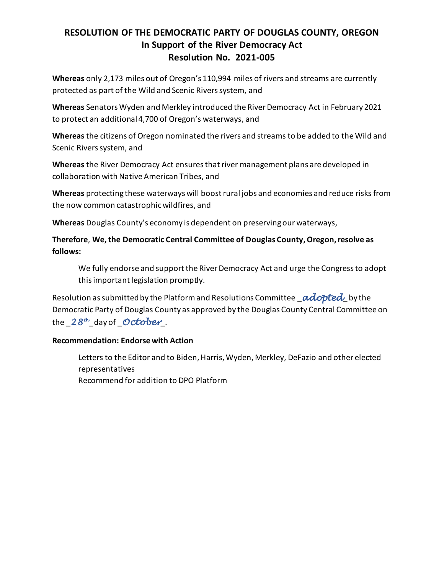### **RESOLUTION OF THE DEMOCRATIC PARTY OF DOUGLAS COUNTY, OREGON In Support of the River Democracy Act Resolution No. 2021-005**

**Whereas** only 2,173 miles out of Oregon's 110,994 miles of rivers and streams are currently protected as part of the Wild and Scenic Rivers system, and

**Whereas** Senators Wyden and Merkley introduced the River Democracy Act in February 2021 to protect an additional 4,700 of Oregon's waterways, and

**Whereas** the citizens of Oregon nominated the rivers and streams to be added to the Wild and Scenic Rivers system, and

**Whereas** the River Democracy Act ensures that river management plans are developed in collaboration with Native American Tribes, and

**Whereas** protecting these waterways will boost rural jobs and economies and reduce risks from the now common catastrophic wildfires, and

**Whereas** Douglas County's economy is dependent on preserving our waterways,

**Therefore**, **We, the Democratic Central Committee of Douglas County, Oregon, resolve as follows:**

We fully endorse and support the River Democracy Act and urge the Congress to adopt this important legislation promptly.

Resolution as submitted by the Platform and Resolutions Committee \_*adopted*\_ by the Democratic Party of Douglas County as approved by the Douglas County Central Committee on the \_*28th* \_day of \_*October*\_.

#### **Recommendation: Endorse with Action**

Letters to the Editor and to Biden, Harris, Wyden, Merkley, DeFazio and other elected representatives Recommend for addition to DPO Platform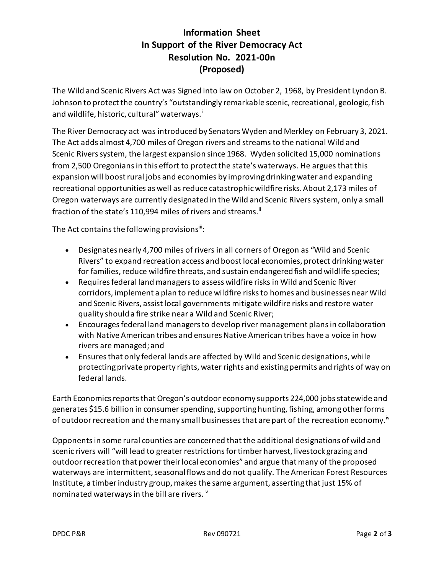# **Information Sheet In Support of the River Democracy Act Resolution No. 2021-00n (Proposed)**

The Wild and Scenic Rivers Act was Signed into law on October 2, 1968, by President Lyndon B. Johnson to protect the country's "outstandingly remarkable scenic, recreational, geologic, fish and wildlife, historic, cultural" waterways.<sup>i</sup>

The River Democracy act was introduced by Senators Wyden and Merkley on February 3, 2021. The Act adds almost 4,700 miles of Oregon rivers and streams to the national Wild and Scenic Rivers system, the largest expansion since 1968. Wyden solicited 15,000 nominations from 2,500 Oregonians in this effort to protect the state's waterways. He argues that this expansion will boost rural jobs and economies by improving drinking water and expanding recreational opportunities as well as reduce catastrophic wildfire risks.About 2,173 miles of Oregon waterways are currently designated in the Wild and Scenic Rivers system, only a small fraction of the state's 110,994 miles of rivers and streams.<sup>ii</sup>

The Act contains the following provisions $\ddot{m}$ :

- Designates nearly 4,700 miles of rivers in all corners of Oregon as "Wild and Scenic Rivers" to expand recreation access and boost local economies, protect drinking water for families, reduce wildfire threats, and sustain endangered fish and wildlife species;
- Requires federal land managers to assess wildfire risks in Wild and Scenic River corridors, implement a plan to reduce wildfire risks to homes and businesses near Wild and Scenic Rivers, assist local governments mitigate wildfire risks and restore water quality should a fire strike near a Wild and Scenic River;
- Encourages federal land managers to develop river management plans in collaboration with Native American tribes and ensures Native American tribes have a voice in how rivers are managed; and
- Ensures that only federal lands are affected by Wild and Scenic designations, while protecting private property rights, water rights and existing permits and rights of way on federal lands.

Earth Economics reports that Oregon's outdoor economy supports 224,000 jobs statewide and generates \$15.6 billion in consumer spending, supporting hunting, fishing, among other forms of outdoor recreation and the many small businesses that are part of the recreation economy.<sup>iv</sup>

Opponents in some rural counties are concerned that the additional designations of wild and scenic rivers will "will lead to greater restrictions for timber harvest, livestock grazing and outdoor recreation that power their local economies" and argue that many of the proposed waterways are intermittent, seasonal flows and do not qualify. The American Forest Resources Institute, a timber industry group, makes the same argument, asserting that just 15% of nominated waterways in the bill are rivers.  $^{\mathsf{v}}$